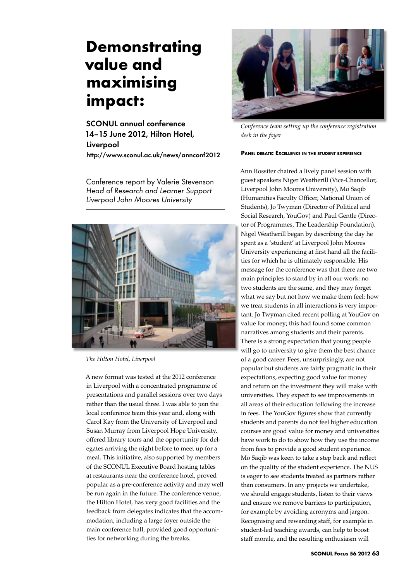# **Demonstrating value and maximising impact:**

SCONUL annual conference 14–15 June 2012, Hilton Hotel, Liverpool http://www.sconul.ac.uk/news/annconf2012

Conference report by Valerie Stevenson *Head of Research and Learner Support Liverpool John Moores University*



*The Hilton Hotel, Liverpool*

A new format was tested at the 2012 conference in Liverpool with a concentrated programme of presentations and parallel sessions over two days rather than the usual three. I was able to join the local conference team this year and, along with Carol Kay from the University of Liverpool and Susan Murray from Liverpool Hope University, offered library tours and the opportunity for delegates arriving the night before to meet up for a meal. This initiative, also supported by members of the SCONUL Executive Board hosting tables at restaurants near the conference hotel, proved popular as a pre-conference activity and may well be run again in the future. The conference venue, the Hilton Hotel, has very good facilities and the feedback from delegates indicates that the accommodation, including a large foyer outside the main conference hall, provided good opportunities for networking during the breaks.



*Conference team setting up the conference registration desk in the foyer*

## **Panel debate: Excellence in the student experience**

Ann Rossiter chaired a lively panel session with guest speakers Niger Weatherill (Vice-Chancellor, Liverpool John Moores University), Mo Saqib (Humanities Faculty Officer, National Union of Students), Jo Twyman (Director of Political and Social Research, YouGov) and Paul Gentle (Director of Programmes, The Leadership Foundation). Nigel Weatherill began by describing the day he spent as a 'student' at Liverpool John Moores University experiencing at first hand all the facilities for which he is ultimately responsible. His message for the conference was that there are two main principles to stand by in all our work: no two students are the same, and they may forget what we say but not how we make them feel: how we treat students in all interactions is very important. Jo Twyman cited recent polling at YouGov on value for money; this had found some common narratives among students and their parents. There is a strong expectation that young people will go to university to give them the best chance of a good career. Fees, unsurprisingly, are not popular but students are fairly pragmatic in their expectations, expecting good value for money and return on the investment they will make with universities. They expect to see improvements in all areas of their education following the increase in fees. The YouGov figures show that currently students and parents do not feel higher education courses are good value for money and universities have work to do to show how they use the income from fees to provide a good student experience. Mo Saqib was keen to take a step back and reflect on the quality of the student experience. The NUS is eager to see students treated as partners rather than consumers. In any projects we undertake, we should engage students, listen to their views and ensure we remove barriers to participation, for example by avoiding acronyms and jargon. Recognising and rewarding staff, for example in student-led teaching awards, can help to boost staff morale, and the resulting enthusiasm will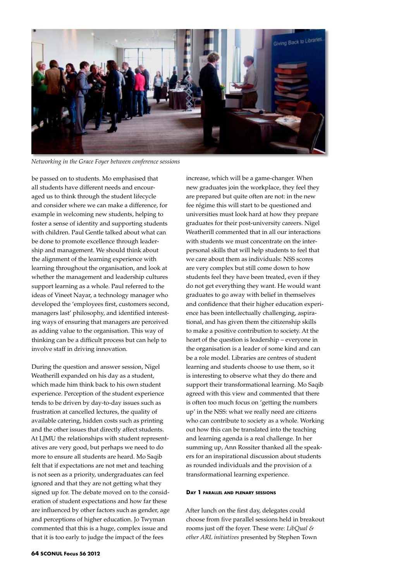

*Networking in the Grace Foyer between conference sessions*

be passed on to students. Mo emphasised that all students have different needs and encouraged us to think through the student lifecycle and consider where we can make a difference, for example in welcoming new students, helping to foster a sense of identity and supporting students with children. Paul Gentle talked about what can be done to promote excellence through leadership and management. We should think about the alignment of the learning experience with learning throughout the organisation, and look at whether the management and leadership cultures support learning as a whole. Paul referred to the ideas of Vineet Nayar, a technology manager who developed the 'employees first, customers second, managers last' philosophy, and identified interesting ways of ensuring that managers are perceived as adding value to the organisation. This way of thinking can be a difficult process but can help to involve staff in driving innovation.

During the question and answer session, Nigel Weatherill expanded on his day as a student, which made him think back to his own student experience. Perception of the student experience tends to be driven by day-to-day issues such as frustration at cancelled lectures, the quality of available catering, hidden costs such as printing and the other issues that directly affect students. At LJMU the relationships with student representatives are very good, but perhaps we need to do more to ensure all students are heard. Mo Saqib felt that if expectations are not met and teaching is not seen as a priority, undergraduates can feel ignored and that they are not getting what they signed up for. The debate moved on to the consideration of student expectations and how far these are influenced by other factors such as gender, age and perceptions of higher education. Jo Twyman commented that this is a huge, complex issue and that it is too early to judge the impact of the fees

increase, which will be a game-changer. When new graduates join the workplace, they feel they are prepared but quite often are not: in the new fee régime this will start to be questioned and universities must look hard at how they prepare graduates for their post-university careers. Nigel Weatherill commented that in all our interactions with students we must concentrate on the interpersonal skills that will help students to feel that we care about them as individuals: NSS scores are very complex but still come down to how students feel they have been treated, even if they do not get everything they want. He would want graduates to go away with belief in themselves and confidence that their higher education experience has been intellectually challenging, aspirational, and has given them the citizenship skills to make a positive contribution to society. At the heart of the question is leadership – everyone in the organisation is a leader of some kind and can be a role model. Libraries are centres of student learning and students choose to use them, so it is interesting to observe what they do there and support their transformational learning. Mo Saqib agreed with this view and commented that there is often too much focus on 'getting the numbers up' in the NSS: what we really need are citizens who can contribute to society as a whole. Working out how this can be translated into the teaching and learning agenda is a real challenge. In her summing up, Ann Rossiter thanked all the speakers for an inspirational discussion about students as rounded individuals and the provision of a transformational learning experience.

#### **Day 1 parallel and plenary sessions**

After lunch on the first day, delegates could choose from five parallel sessions held in breakout rooms just off the foyer. These were: *LibQual & other ARL initiatives* presented by Stephen Town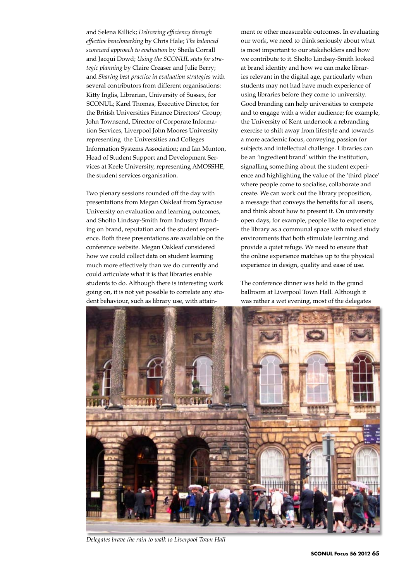and Selena Killick; *Delivering efficiency through effective benchmarking* by Chris Hale; *The balanced scorecard approach to evaluation* by Sheila Corrall and Jacqui Dowd; *Using the SCONUL stats for strategic planning* by Claire Creaser and Julie Berry; and *Sharing best practice in evaluation strategies* with several contributors from different organisations: Kitty Inglis, Librarian, University of Sussex, for SCONUL; Karel Thomas, Executive Director, for the British Universities Finance Directors' Group; John Townsend, Director of Corporate Information Services, Liverpool John Moores University representing the Universities and Colleges Information Systems Association; and Ian Munton, Head of Student Support and Development Services at Keele University, representing AMOSSHE, the student services organisation.

Two plenary sessions rounded off the day with presentations from Megan Oakleaf from Syracuse University on evaluation and learning outcomes, and Sholto Lindsay-Smith from Industry Branding on brand, reputation and the student experience. Both these presentations are available on the conference website. Megan Oakleaf considered how we could collect data on student learning much more effectively than we do currently and could articulate what it is that libraries enable students to do. Although there is interesting work going on, it is not yet possible to correlate any student behaviour, such as library use, with attainment or other measurable outcomes. In evaluating our work, we need to think seriously about what is most important to our stakeholders and how we contribute to it. Sholto Lindsay-Smith looked at brand identity and how we can make libraries relevant in the digital age, particularly when students may not had have much experience of using libraries before they come to university. Good branding can help universities to compete and to engage with a wider audience; for example, the University of Kent undertook a rebranding exercise to shift away from lifestyle and towards a more academic focus, conveying passion for subjects and intellectual challenge. Libraries can be an 'ingredient brand' within the institution, signalling something about the student experience and highlighting the value of the 'third place' where people come to socialise, collaborate and create. We can work out the library proposition, a message that conveys the benefits for all users, and think about how to present it. On university open days, for example, people like to experience the library as a communal space with mixed study environments that both stimulate learning and provide a quiet refuge. We need to ensure that the online experience matches up to the physical experience in design, quality and ease of use.

The conference dinner was held in the grand ballroom at Liverpool Town Hall. Although it was rather a wet evening, most of the delegates



*Delegates brave the rain to walk to Liverpool Town Hall*